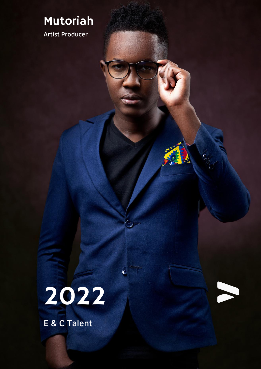### Mutoriah

Artist Producer

# 2022

 $\odot$ 

E & C Talent

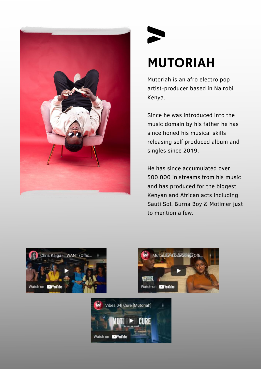

# MUTORIAH

Mutoriah is an afro electro pop artist-producer based in Nairobi Kenya.

Since he was introduced into the music domain by his father he has since honed his musical skills releasing self produced album and singles since 2019.

He has since accumulated over 500,000 in streams from his music and has produced for the biggest Kenyan and African acts including Sauti Sol, Burna Boy & Motimer just to mention a few.





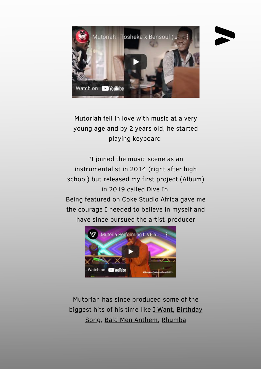

Mutoriah fell in love with music at a very young age and by 2 years old, he started playing keyboard

"I joined the music scene as an instrumentalist in 2014 (right after high school) but released my first project (Album) in 2019 called Dive In.

Being featured on Coke Studio Africa gave me the courage I needed to believe in myself and have since pursued the artist-producer



Mutoriah has since produced some of the biggest hits of his time like I [Want,](https://www.youtube.com/watch?v=x0AmYZoc4yc) [Birthday](https://www.youtube.com/watch?v=XTh2rsVuDWs) Song, Bald Men [Anthem](https://www.youtube.com/watch?v=rMOY7GXN15s), [Rhumba](https://www.youtube.com/watch?v=6Pps4Y_CnrM)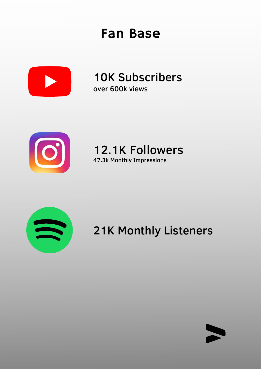### Fan Base



10K Subscribers over 600k views



12.1K Followers 47.3k Monthly Impressions





21K Monthly Listeners

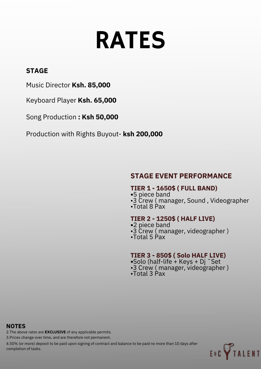# RATES

#### **STAGE**

Music Director **Ksh. 85,000**

Keyboard Player **Ksh. 65,000**

Song Production **: Ksh 50,000**

Production with Rights Buyout- **ksh 200,000**

#### **STAGE EVENT PERFORMANCE**

#### **TIER 1 - 1650\$ ( FULL BAND)**

- **•**5 piece band
- •3 Crew ( manager, Sound , Videographer
- •Total 8 Pax

#### **TIER 2 - 1250\$ ( HALF LIVE)**

- **•**2 piece band
- •3 Crew ( manager, videographer )
- •Total 5 Pax

#### **TIER 3 - 850\$ ( Solo HALF LIVE)**

- **•**Solo (half-life + Keys + Dj ˜Set •3 Crew ( manager, videographer )
- •Total 3 Pax

#### **NOTES**

2.The above rates are **EXCLUSIVE** of any applicable permits.

3.Prices change over time, and are therefore not permanent.

4.50% (or more) deposit to be paid upon signing of contract and balance to be paid no more than 10 days after completion of tasks.

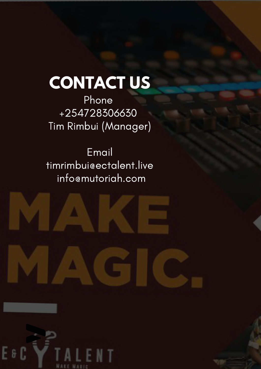# **CONTACT US**

Phone +254728306630 Tim Rimbui (Manager)

Email [timrimbui@ectalent.live](mailto:timrimbui@ectalent.live) info@mutoriah.com



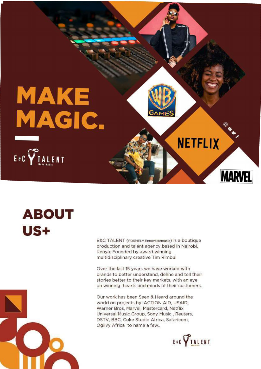

# **ABOUT** US+

E&C TALENT (FORMELY Ennovatormusic) is a boutique production and talent agency based in Nairobi, Kenya. Founded by award winning multidisciplinary creative Tim Rimbui

Over the last 15 years we have worked with brands to better understand, define and tell their stories better to their key markets, with an eye on winning hearts and minds of their customers.

Our work has been Seen & Heard around the world on projects by: ACTION AID, USAID. Warner Bros, Marvel, Mastercard, Netflix Universal Music Group, Sony Music, Reuters, DSTV, BBC, Coke Studio Africa, Safaricom, Ogilvy Africa to name a few..



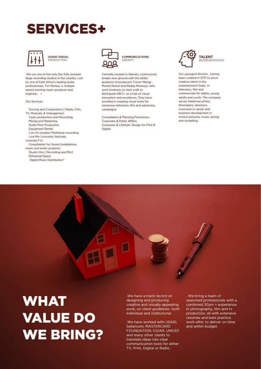## **SERVICES+**





We run one of the only few fully stocked large recording studios in the country. Led by one of East Africa's leading audio professionals, Tim Rimbui, a multiple award winning music producer and engineer, =

#### Our Services

Scoring and Composition [ Radio, Film, TV, Musicals, & Videogames] music production and Recording Mixing and Mastering Audio Post Production Equipment Rental Live On location Multitrack recording Live Mix [concerts, festivals, musicals, TV] Consultation for Sound installations. music and audio projects] Studio Hire [ Recording and Mix] Rehearsal Space Digital Music Distribution\*



**COMMUNICATIONS AGENCY** 

Centrally located in Nairobi, continuously breaks new ground with the skilful guidance of producers Trevor Maingi, Mumbi Muturi and Paddy Mulweye, who work tirelessly on their craft to distinguish E&C's as a hub of visual innovation and excellence. They have excelled in creating visual looks for numerous television, film and adversing campaigns.

Consultation & Planning Permission. Corporate & Public Affairs, Consumer & Lifestyle. Design for Print & Digital.



**TALENT** REPRESENTATION

Our youngest division, having been created in 2017 to serve creative talent in the entertainment fields in television, film and commercials for adults, young adults and youth. The company serves theatrical artists. filmmakers, directors, musicians in career and business development in motion pictures, music, acting and modelling.



We have a track record on designing and producing creative and visually appealing work, on client guidelines -both individual and institutional.

.We have worked with USAID, Safaricom, MASTERCARD FOUNDATION, CGIAR, UNICEF and many other clients to translate ideas into clear communication tools for either TV, Print, Digital or Radio.

. We bring a team of seasoned professionals with a combined 30yrs + experience in photography, film and tv production, all with extensive resumes and best practice work ethic to deliver on time and within budget.